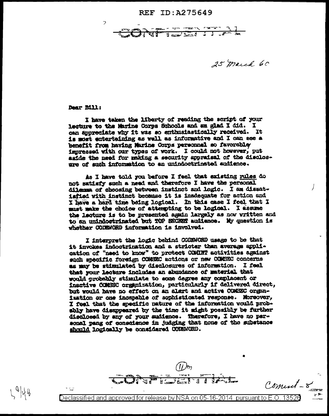REF ID: A275649

रत है  $\frac{1}{2}$  there is  $\frac{1}{2}$ 

25 march 60

Dear Bill:

 $\overline{z}$ 

I have taken the liberty of reading the script of your lecture to the Marine Corps Schools and am glad I did. I can appreciate why it was so enthusiastically received. It is must entertaining as well as informative and I can see a benefit from having Marine Corps personnel so favorably impressed with our types of work. I could not however, put aside the need for making a security appraisal of the disclosure of such information to an unindoctrinated audience.

As I have told you before I feel that existing rules do not satisfy such a need and therefore I have the personal dilemma of choosing between instinct and logic. I am dissatisfied with instinct because it is inadequate for action and I have a hard time being logical. In this case I feel that I must make the choice of attempting to be logical. I assume the lacture is to be presented again largely as now written and to an unimicotrinated but TOP SECRET audience. My question is whether CODEMORD information is involved.

I interpret the logic behind CODENORD usage to be that it invokes indoctrination and a stricter than average application of "need to know" to protect COMINT activities against such specific foreign COMEXC actions or new COMEKC concerns as may be stimulated by disclosures of information. I feel that your lecture includes an abundance of material that would probably stimulate to some degree any complacent or inactive COMSEC organization, particularly if delivered direct, but would have no effect on an alart and active COMEEC organization or one incepable of sophisticated response. Morsover, I feel that the specific pature of the information would probshiy have disappeared by the time it might possibly be further disclosed by any of your sudience. Therefore, I have no personal pang of conscience in judging that none of the substance should logically be considered COUEWORD.

Coment-8

Declassified and approved for release by NSA on 05-16-2014  $\,$  pursuant to E.O. 13526  $\,$